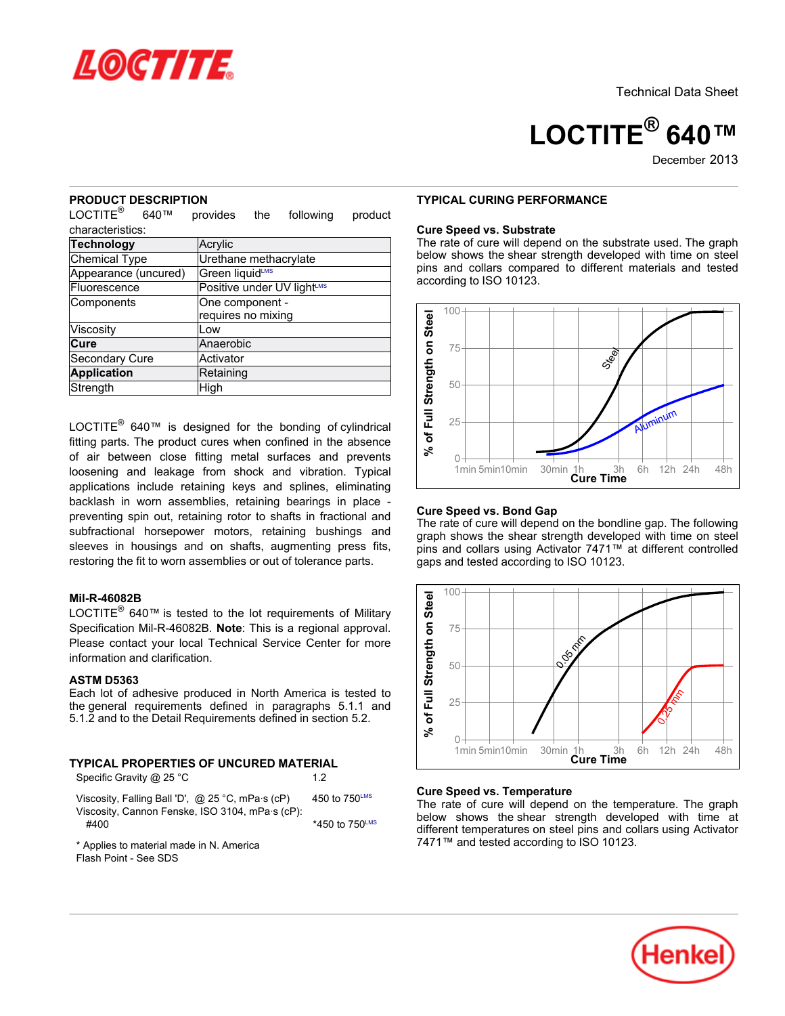

**LOCTITE® 640™**

December 2013

### **PRODUCT DESCRIPTION**

 $\mathsf{LOCTITE}^\circledR$  640™ provides the following product characteristics:

| Technology            | Acrylic                    |  |  |
|-----------------------|----------------------------|--|--|
| Chemical Type         | Urethane methacrylate      |  |  |
| Appearance (uncured)  | Green liquidLMS            |  |  |
| Fluorescence          | Positive under UV lightLMS |  |  |
| Components            | One component -            |  |  |
|                       | requires no mixing         |  |  |
| Viscosity             | Low                        |  |  |
| Cure                  | Anaerobic                  |  |  |
| <b>Secondary Cure</b> | Activator                  |  |  |
| <b>Application</b>    | Retaining                  |  |  |
| Strength              | High                       |  |  |

LOCTITE $^{\circledR}$  640™ is designed for the bonding of cylindrical fitting parts. The product cures when confined in the absence of air between close fitting metal surfaces and prevents loosening and leakage from shock and vibration. Typical applications include retaining keys and splines, eliminating backlash in worn assemblies, retaining bearings in place preventing spin out, retaining rotor to shafts in fractional and subfractional horsepower motors, retaining bushings and sleeves in housings and on shafts, augmenting press fits, restoring the fit to worn assemblies or out of tolerance parts.

# **Mil-R-46082B**

LOCTITE $^{\circledR}$  640™ is tested to the lot requirements of Military Specification Mil-R-46082B. **Note**: This is a regional approval. Please contact your local Technical Service Center for more information and clarification.

# **ASTM D5363**

Each lot of adhesive produced in North America is tested to the general requirements defined in paragraphs 5.1.1 and 5.1.2 and to the Detail Requirements defined in section 5.2.

# **TYPICAL PROPERTIES OF UNCURED MATERIAL**

| Specific Gravity @ 25 °C                           | 12                        |
|----------------------------------------------------|---------------------------|
| Viscosity, Falling Ball 'D', $@$ 25 °C, mPa s (cP) | 450 to $750^{\text{LMS}}$ |
| Viscosity, Cannon Fenske, ISO 3104, mPa·s (cP):    |                           |
| #400                                               | *450 to 750LMS            |
|                                                    |                           |

\* Applies to material made in N. America Flash Point - See SDS

### **TYPICAL CURING PERFORMANCE**

### **Cure Speed vs. Substrate**

The rate of cure will depend on the substrate used. The graph below shows the shear strength developed with time on steel pins and collars compared to different materials and tested according to ISO 10123.



### **Cure Speed vs. Bond Gap**

The rate of cure will depend on the bondline gap. The following graph shows the shear strength developed with time on steel pins and collars using Activator 7471™ at different controlled gaps and tested according to ISO 10123.



### **Cure Speed vs. Temperature**

The rate of cure will depend on the temperature. The graph below shows the shear strength developed with time at different temperatures on steel pins and collars using Activator 7471™ and tested according to ISO 10123.

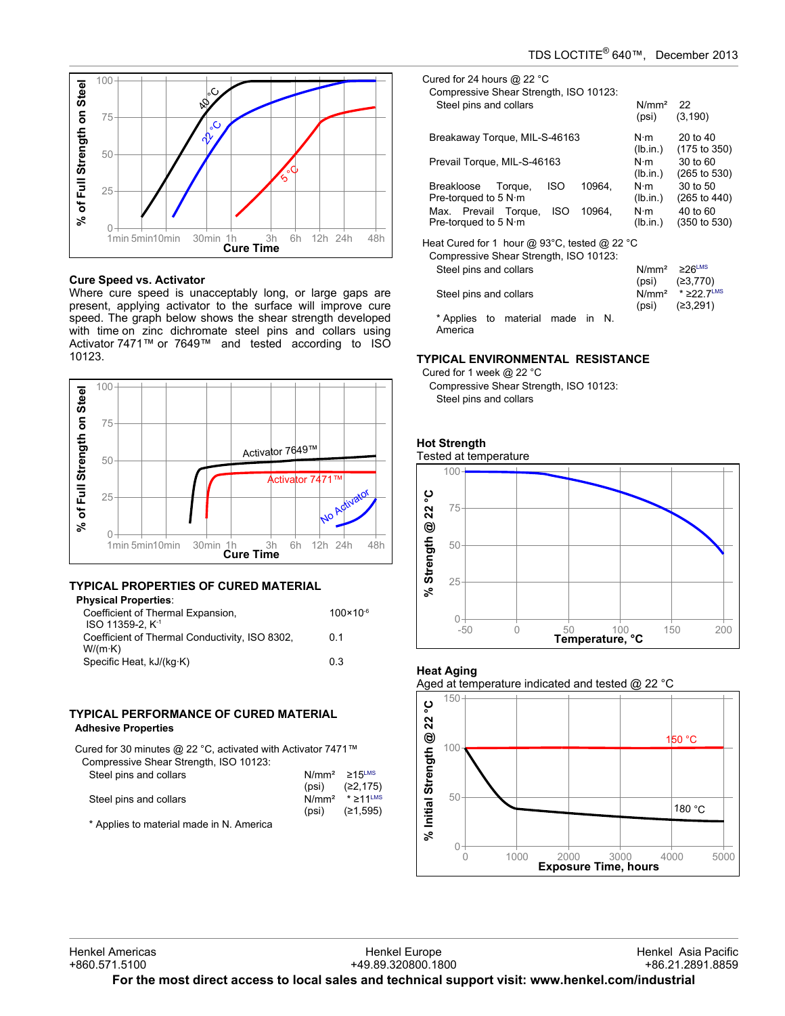



### **Cure Speed vs. Activator**

Where cure speed is unacceptably long, or large gaps are present, applying activator to the surface will improve cure speed. The graph below shows the shear strength developed with time on zinc dichromate steel pins and collars using Activator 7471™ or 7649™ and tested according to ISO 10123.



### **TYPICAL PROPERTIES OF CURED MATERIAL Physical Properties**

| rnysical Properties.                           |                      |
|------------------------------------------------|----------------------|
| Coefficient of Thermal Expansion,              | $100 \times 10^{-6}$ |
| ISO 11359-2. K <sup>-1</sup>                   |                      |
| Coefficient of Thermal Conductivity, ISO 8302, | 0.1                  |
| $W/(m \cdot K)$                                |                      |
| Specific Heat, kJ/(kq·K)                       | 03                   |
|                                                |                      |

# **TYPICAL PERFORMANCE OF CURED MATERIAL Adhesive Properties**

Cured for 30 minutes @ 22 °C, activated with Activator 7471™ Compressive Shear Strength, ISO 10123:

| Steel pins and collars                   | $N/mm^2 \ge 15$ <sup>LMS</sup> |
|------------------------------------------|--------------------------------|
|                                          | (psi) $(22, 175)$              |
| Steel pins and collars                   | $N/mm2$ * > 11LMS              |
|                                          | (psi) $(21.595)$               |
| * Annlica to motorial mode in N. America |                                |

Applies to material made in N. America

| Cured for 24 hours @ 22 $^{\circ}$ C<br>Compressive Shear Strength, ISO 10123:<br>Steel pins and collars                                               | N/mm <sup>2</sup><br>(psi)                         | 22<br>(3, 190)                                                             |
|--------------------------------------------------------------------------------------------------------------------------------------------------------|----------------------------------------------------|----------------------------------------------------------------------------|
| Breakaway Torque, MIL-S-46163                                                                                                                          | $N \cdot m$<br>(lb.in.)                            | 20 to 40<br>$(175 \text{ to } 350)$                                        |
| Prevail Torque, MIL-S-46163                                                                                                                            | $N \cdot m$<br>(lb.in.)                            | 30 to 60<br>$(265 \text{ to } 530)$                                        |
| <b>ISO</b><br>10964.<br>Torque,<br>Breakloose<br>Pre-torqued to 5 $N \cdot m$<br>Max. Prevail Torque,<br>10964.<br>ISO<br>Pre-torqued to 5 $N \cdot m$ | $N \cdot m$<br>(lb.in.)<br>$N \cdot m$<br>(lb.in.) | 30 to 50<br>$(265 \text{ to } 440)$<br>40 to 60<br>$(350 \text{ to } 530)$ |
| Heat Cured for 1 hour @ 93 $^{\circ}$ C, tested @ 22 $^{\circ}$ C<br>Compressive Shear Strength, ISO 10123:<br>Steel pins and collars                  | $N/mm^2$ $\geq 26$ <sup>LMS</sup>                  |                                                                            |
| Steel pins and collars                                                                                                                                 | (psi)<br>(psi)                                     | (≥3,770)<br>N/mm <sup>2</sup> $*$ ≥22.7 <sup>LMS</sup><br>(≥3,291)         |
| material<br>* Applies<br>made<br>N.<br>to<br>in.<br>America                                                                                            |                                                    |                                                                            |

### **TYPICAL ENVIRONMENTAL RESISTANCE**

Cured for 1 week @ 22 °C Compressive Shear Strength, ISO 10123: Steel pins and collars







### Aged at temperature indicated and tested @ 22 °C

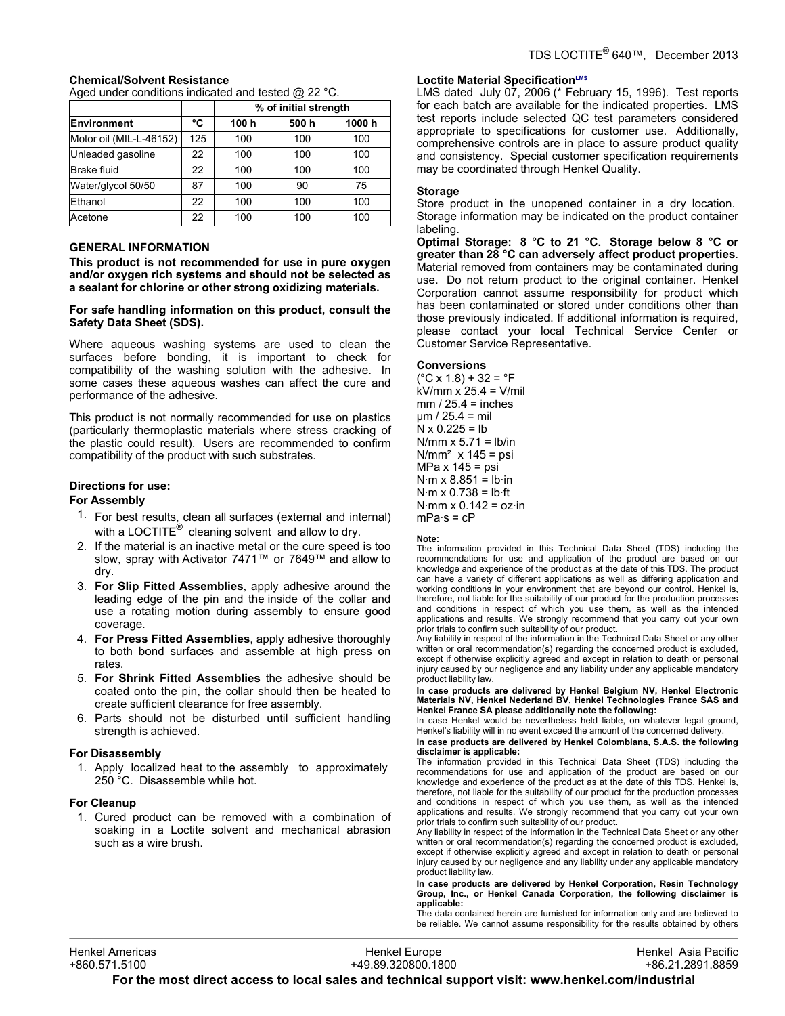# **Chemical/Solvent Resistance**

Aged under conditions indicated and tested @ 22 °C.

|                         |     | % of initial strength |      |        |
|-------------------------|-----|-----------------------|------|--------|
| <b>Environment</b>      | °C  | 100 h                 | 500h | 1000 h |
| Motor oil (MIL-L-46152) | 125 | 100                   | 100  | 100    |
| Unleaded gasoline       | 22  | 100                   | 100  | 100    |
| <b>Brake fluid</b>      | 22  | 100                   | 100  | 100    |
| Water/glycol 50/50      | 87  | 100                   | 90   | 75     |
| Ethanol                 | 22  | 100                   | 100  | 100    |
| Acetone                 | 22  | 100                   | 100  | 100    |

# **GENERAL INFORMATION**

**This product is not recommended for use in pure oxygen and/or oxygen rich systems and should not be selected as a sealant for chlorine or other strong oxidizing materials.**

### **For safe handling information on this product, consult the Safety Data Sheet (SDS).**

Where aqueous washing systems are used to clean the surfaces before bonding, it is important to check for compatibility of the washing solution with the adhesive. In some cases these aqueous washes can affect the cure and performance of the adhesive.

This product is not normally recommended for use on plastics (particularly thermoplastic materials where stress cracking of the plastic could result). Users are recommended to confirm compatibility of the product with such substrates.

# **Directions for use:**

### **For Assembly**

- 1. For best results, clean all surfaces (external and internal) with a LOCTITE $^{\circledR}$  cleaning solvent and allow to dry.
- 2. If the material is an inactive metal or the cure speed is too slow, spray with Activator 7471™ or 7649™ and allow to dry.
- 3. **For Slip Fitted Assemblies**, apply adhesive around the leading edge of the pin and the inside of the collar and use a rotating motion during assembly to ensure good coverage.
- 4. **For Press Fitted Assemblies**, apply adhesive thoroughly to both bond surfaces and assemble at high press on rates.
- 5. **For Shrink Fitted Assemblies** the adhesive should be coated onto the pin, the collar should then be heated to create sufficient clearance for free assembly.
- 6. Parts should not be disturbed until sufficient handling strength is achieved.

### **For Disassembly**

1. Apply localized heat to the assembly to approximately 250 °C. Disassemble while hot.

### **For Cleanup**

1. Cured product can be removed with a combination of soaking in a Loctite solvent and mechanical abrasion such as a wire brush.

# **Loctite Material SpecificationLMS**

LMS dated July-07, 2006 (\* February 15, 1996). Test reports for each batch are available for the indicated properties. LMS test reports include selected QC test parameters considered appropriate to specifications for customer use. Additionally, comprehensive controls are in place to assure product quality and consistency. Special customer specification requirements may be coordinated through Henkel Quality.

### **Storage**

Store product in the unopened container in a dry location. Storage information may be indicated on the product container labeling.

**Optimal Storage: 8 °C to 21 °C. Storage below 8 °C or greater than 28 °C can adversely affect product properties**. Material removed from containers may be contaminated during use. Do not return product to the original container. Henkel Corporation cannot assume responsibility for product which has been contaminated or stored under conditions other than those previously indicated. If additional information is required, please contact your local Technical Service Center or Customer Service Representative.

### **Conversions**

 $(^{\circ}C$  x 1.8) + 32 =  $^{\circ}F$ kV/mm x 25.4 = V/mil  $mm / 25.4 = inches$ µm / 25.4 = mil  $N \times 0.225 = lb$  $N/mm \times 5.71 = lb/in$  $N/mm^2$  x 145 = psi MPa x 145 = psi  $N·m \times 8.851 = lb·in$  $N·m \times 0.738 = lb·ft$  $N·mm \times 0.142 = oz·in$  $mPa·s = cP$ 

### **Note:**

The information provided in this Technical Data Sheet (TDS) including the recommendations for use and application of the product are based on our knowledge and experience of the product as at the date of this TDS. The product can have a variety of different applications as well as differing application and working conditions in your environment that are beyond our control. Henkel is, therefore, not liable for the suitability of our product for the production processes and conditions in respect of which you use them, as well as the intended applications and results. We strongly recommend that you carry out your own prior trials to confirm such suitability of our product.

Any liability in respect of the information in the Technical Data Sheet or any other written or oral recommendation(s) regarding the concerned product is excluded, except if otherwise explicitly agreed and except in relation to death or personal injury caused by our negligence and any liability under any applicable mandatory product liability law.

**In case products are delivered by Henkel Belgium NV, Henkel Electronic Materials NV, Henkel Nederland BV, Henkel Technologies France SAS and Henkel France SA please additionally note the following:** 

In case Henkel would be nevertheless held liable, on whatever legal ground, Henkel's liability will in no event exceed the amount of the concerned delivery.

**In case products are delivered by Henkel Colombiana, S.A.S. the following disclaimer is applicable:**

The information provided in this Technical Data Sheet (TDS) including the recommendations for use and application of the product are based on our knowledge and experience of the product as at the date of this TDS. Henkel is, therefore, not liable for the suitability of our product for the production processes and conditions in respect of which you use them, as well as the intended applications and results. We strongly recommend that you carry out your own prior trials to confirm such suitability of our product.

Any liability in respect of the information in the Technical Data Sheet or any other written or oral recommendation(s) regarding the concerned product is excluded, except if otherwise explicitly agreed and except in relation to death or personal injury caused by our negligence and any liability under any applicable mandatory product liability law.

**In case products are delivered by Henkel Corporation, Resin Technology Group, Inc., or Henkel Canada Corporation, the following disclaimer is applicable:**

The data contained herein are furnished for information only and are believed to be reliable. We cannot assume responsibility for the results obtained by others

Henkel Europe +49.89.320800.1800